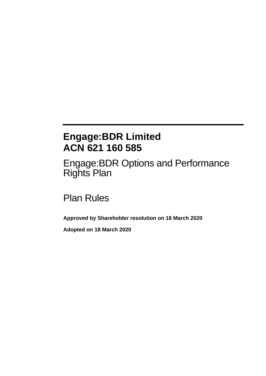# **Engage:BDR Limited ACN 621 160 585**

Engage:BDR Options and Performance Rights Plan

Plan Rules

**Approved by Shareholder resolution on 18 March 2020**

**Adopted on 18 March 2020**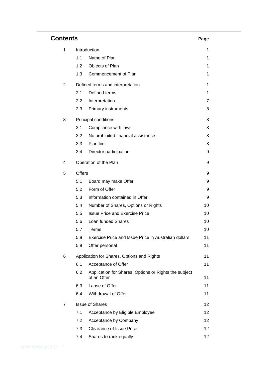| Contents |                                            |                                                                      |    |  |
|----------|--------------------------------------------|----------------------------------------------------------------------|----|--|
| 1        | Introduction                               |                                                                      |    |  |
|          | 1.1                                        | Name of Plan                                                         | 1  |  |
|          | 1.2                                        | Objects of Plan                                                      | 1  |  |
|          | 1.3                                        | Commencement of Plan                                                 | 1  |  |
| 2        |                                            | Defined terms and interpretation                                     | 1  |  |
|          | 2.1                                        | Defined terms                                                        | 1  |  |
|          | 2.2                                        | Interpretation                                                       | 7  |  |
|          | 2.3                                        | <b>Primary instruments</b>                                           | 8  |  |
| 3        | Principal conditions                       |                                                                      | 8  |  |
|          | 3.1                                        | Compliance with laws                                                 | 8  |  |
|          | 3.2                                        | No prohibited financial assistance                                   | 8  |  |
|          | 3.3                                        | Plan limit                                                           | 8  |  |
|          | 3.4                                        | Director participation                                               | 9  |  |
| 4        |                                            | Operation of the Plan                                                | 9  |  |
| 5        | <b>Offers</b>                              |                                                                      | 9  |  |
|          | 5.1                                        | Board may make Offer                                                 | 9  |  |
|          | 5.2                                        | Form of Offer                                                        | 9  |  |
|          | 5.3                                        | Information contained in Offer                                       | 9  |  |
|          | 5.4                                        | Number of Shares, Options or Rights                                  | 10 |  |
|          | 5.5                                        | <b>Issue Price and Exercise Price</b>                                | 10 |  |
|          | 5.6                                        | Loan funded Shares                                                   | 10 |  |
|          | 5.7                                        | Terms                                                                | 10 |  |
|          | 5.8                                        | Exercise Price and Issue Price in Australian dollars                 | 11 |  |
|          | 5.9                                        | Offer personal                                                       | 11 |  |
| 6        | Application for Shares, Options and Rights |                                                                      | 11 |  |
|          | 6.1                                        | Acceptance of Offer                                                  | 11 |  |
|          | 6.2                                        | Application for Shares, Options or Rights the subject<br>of an Offer | 11 |  |
|          | 6.3                                        | Lapse of Offer                                                       | 11 |  |
|          | 6.4                                        | Withdrawal of Offer                                                  | 11 |  |
| 7        |                                            | <b>Issue of Shares</b>                                               | 12 |  |
|          | 7.1                                        | Acceptance by Eligible Employee                                      | 12 |  |
|          | 7.2                                        | Acceptance by Company                                                | 12 |  |
|          | 7.3                                        | <b>Clearance of Issue Price</b>                                      | 12 |  |
|          | 7.4                                        | Shares to rank equally                                               | 12 |  |

-------------------------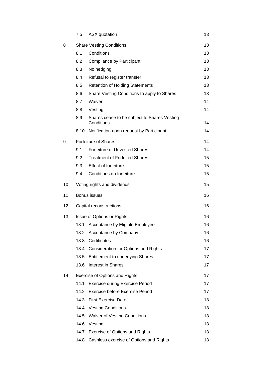|    | 7.5                             | ASX quotation                                              | 13 |  |
|----|---------------------------------|------------------------------------------------------------|----|--|
| 8  | <b>Share Vesting Conditions</b> |                                                            | 13 |  |
|    | 8.1                             | Conditions                                                 | 13 |  |
|    | 8.2                             | Compliance by Participant                                  | 13 |  |
|    | 8.3                             | No hedging                                                 | 13 |  |
|    | 8.4                             | Refusal to register transfer                               | 13 |  |
|    | 8.5                             | <b>Retention of Holding Statements</b>                     | 13 |  |
|    | 8.6                             | Share Vesting Conditions to apply to Shares                | 13 |  |
|    | 8.7                             | Waiver                                                     | 14 |  |
|    | 8.8                             | Vesting                                                    | 14 |  |
|    | 8.9                             | Shares cease to be subject to Shares Vesting<br>Conditions | 14 |  |
|    | 8.10                            | Notification upon request by Participant                   | 14 |  |
| 9  | <b>Forfeiture of Shares</b>     |                                                            |    |  |
|    | 9.1                             | <b>Forfeiture of Unvested Shares</b>                       | 14 |  |
|    | 9.2                             | <b>Treatment of Forfeited Shares</b>                       | 15 |  |
|    | 9.3                             | <b>Effect of forfeiture</b>                                | 15 |  |
|    | 9.4                             | Conditions on forfeiture                                   | 15 |  |
| 10 |                                 | Voting rights and dividends                                | 15 |  |
|    |                                 | Bonus issues                                               |    |  |
| 11 |                                 |                                                            | 16 |  |
| 12 |                                 | Capital reconstructions                                    | 16 |  |
| 13 |                                 | Issue of Options or Rights                                 | 16 |  |
|    | 13.1                            | Acceptance by Eligible Employee                            | 16 |  |
|    |                                 | 13.2 Acceptance by Company                                 | 16 |  |
|    | 13.3                            | Certificates                                               | 16 |  |
|    | 13.4                            | <b>Consideration for Options and Rights</b>                | 17 |  |
|    | 13.5                            | <b>Entitlement to underlying Shares</b>                    | 17 |  |
|    | 13.6                            | <b>Interest in Shares</b>                                  | 17 |  |
| 14 |                                 | <b>Exercise of Options and Rights</b>                      | 17 |  |
|    | 14.1                            | <b>Exercise during Exercise Period</b>                     | 17 |  |
|    | 14.2                            | <b>Exercise before Exercise Period</b>                     | 17 |  |
|    | 14.3                            | <b>First Exercise Date</b>                                 | 18 |  |
|    | 14.4                            | <b>Vesting Conditions</b>                                  | 18 |  |
|    | 14.5                            | <b>Waiver of Vesting Conditions</b>                        | 18 |  |
|    | 14.6                            | Vesting                                                    | 18 |  |
|    | 14.7                            | <b>Exercise of Options and Rights</b>                      | 18 |  |

----------------------------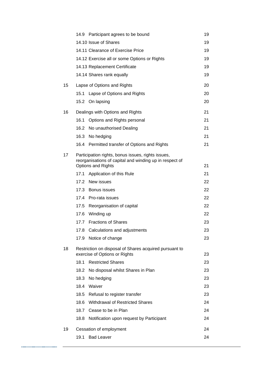|    |                                                                                         | 14.9 Participant agrees to be bound                                                                                                        | 19 |  |
|----|-----------------------------------------------------------------------------------------|--------------------------------------------------------------------------------------------------------------------------------------------|----|--|
|    |                                                                                         | 14.10 Issue of Shares                                                                                                                      | 19 |  |
|    |                                                                                         | 14.11 Clearance of Exercise Price                                                                                                          | 19 |  |
|    |                                                                                         | 14.12 Exercise all or some Options or Rights                                                                                               | 19 |  |
|    |                                                                                         | 14.13 Replacement Certificate                                                                                                              | 19 |  |
|    |                                                                                         | 14.14 Shares rank equally                                                                                                                  | 19 |  |
| 15 |                                                                                         | Lapse of Options and Rights                                                                                                                | 20 |  |
|    | 15.1                                                                                    | Lapse of Options and Rights                                                                                                                | 20 |  |
|    |                                                                                         | 15.2 On lapsing                                                                                                                            | 20 |  |
| 16 | Dealings with Options and Rights                                                        |                                                                                                                                            |    |  |
|    | 16.1                                                                                    | Options and Rights personal                                                                                                                | 21 |  |
|    |                                                                                         | 16.2 No unauthorised Dealing                                                                                                               | 21 |  |
|    |                                                                                         | 16.3 No hedging                                                                                                                            | 21 |  |
|    |                                                                                         | 16.4 Permitted transfer of Options and Rights                                                                                              | 21 |  |
| 17 |                                                                                         | Participation rights, bonus issues, rights issues,<br>reorganisations of capital and winding up in respect of<br><b>Options and Rights</b> | 21 |  |
|    | 17.1                                                                                    | Application of this Rule                                                                                                                   | 21 |  |
|    |                                                                                         | 17.2 New issues                                                                                                                            | 22 |  |
|    |                                                                                         | 17.3 Bonus issues                                                                                                                          | 22 |  |
|    |                                                                                         | 17.4 Pro-rata issues                                                                                                                       | 22 |  |
|    |                                                                                         | 17.5 Reorganisation of capital                                                                                                             | 22 |  |
|    |                                                                                         | 17.6 Winding up                                                                                                                            | 22 |  |
|    |                                                                                         | 17.7 Fractions of Shares                                                                                                                   | 23 |  |
|    | 17.8                                                                                    | Calculations and adjustments                                                                                                               | 23 |  |
|    |                                                                                         | 17.9 Notice of change                                                                                                                      | 23 |  |
| 18 | Restriction on disposal of Shares acquired pursuant to<br>exercise of Options or Rights |                                                                                                                                            |    |  |
|    | 18.1                                                                                    | <b>Restricted Shares</b>                                                                                                                   | 23 |  |
|    | 18.2                                                                                    | No disposal whilst Shares in Plan                                                                                                          | 23 |  |
|    | 18.3                                                                                    | No hedging                                                                                                                                 | 23 |  |
|    |                                                                                         | 18.4 Waiver                                                                                                                                | 23 |  |
|    |                                                                                         | 18.5 Refusal to register transfer                                                                                                          | 23 |  |
|    | 18.6                                                                                    | Withdrawal of Restricted Shares                                                                                                            | 24 |  |
|    | 18.7                                                                                    | Cease to be in Plan                                                                                                                        | 24 |  |
|    | 18.8                                                                                    | Notification upon request by Participant                                                                                                   | 24 |  |
| 19 | Cessation of employment<br>24                                                           |                                                                                                                                            |    |  |
|    | 19.1                                                                                    | <b>Bad Leaver</b>                                                                                                                          | 24 |  |

----------------------------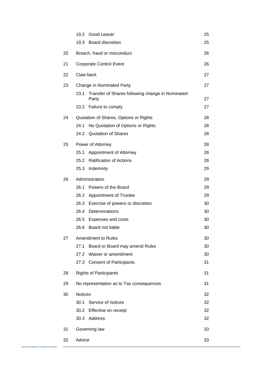|    |                                        | 19.2 Good Leaver                                          | 25 |  |  |
|----|----------------------------------------|-----------------------------------------------------------|----|--|--|
|    |                                        | 19.3 Board discretion                                     | 25 |  |  |
| 20 | Breach, fraud or misconduct            |                                                           |    |  |  |
| 21 | <b>Corporate Control Event</b><br>26   |                                                           |    |  |  |
| 22 | Claw back                              |                                                           |    |  |  |
| 23 | Change in Nominated Party              |                                                           |    |  |  |
|    | 23.1                                   | Transfer of Shares following change in Nominated<br>Party | 27 |  |  |
|    |                                        | 23.2 Failure to comply                                    | 27 |  |  |
| 24 | Quotation of Shares, Options or Rights |                                                           |    |  |  |
|    | 24.1                                   | No Quotation of Options or Rights                         | 28 |  |  |
|    |                                        | 24.2 Quotation of Shares                                  | 28 |  |  |
| 25 | Power of Attorney                      |                                                           |    |  |  |
|    | 25.1                                   | Appointment of Attorney                                   | 28 |  |  |
|    |                                        | 25.2 Ratification of Actions                              | 28 |  |  |
|    |                                        | 25.3 Indemnity                                            | 29 |  |  |
| 26 | Administration                         |                                                           |    |  |  |
|    | 26.1                                   | Powers of the Board                                       | 29 |  |  |
|    |                                        | 26.2 Appointment of Trustee                               | 29 |  |  |
|    |                                        | 26.3 Exercise of powers or discretion                     | 30 |  |  |
|    |                                        | 26.4 Determinations                                       | 30 |  |  |
|    |                                        | 26.5 Expenses and costs                                   | 30 |  |  |
|    |                                        | 26.6 Board not liable                                     | 30 |  |  |
| 27 |                                        | Amendment to Rules                                        | 30 |  |  |
|    | 27.1                                   | Board or Board may amend Rules                            | 30 |  |  |
|    |                                        | 27.2 Waiver or amendment                                  | 30 |  |  |
|    |                                        | 27.3 Consent of Participants                              | 31 |  |  |
| 28 |                                        | <b>Rights of Participants</b><br>31                       |    |  |  |
| 29 |                                        | No representation as to Tax consequences                  |    |  |  |
| 30 | <b>Notices</b>                         |                                                           |    |  |  |
|    |                                        | 30.1 Service of notices                                   | 32 |  |  |
|    |                                        | 30.2 Effective on receipt                                 | 32 |  |  |
|    |                                        | 30.3 Address                                              | 32 |  |  |
| 31 | Governing law<br>33                    |                                                           |    |  |  |
| 32 | Advice                                 |                                                           | 33 |  |  |

----------------------------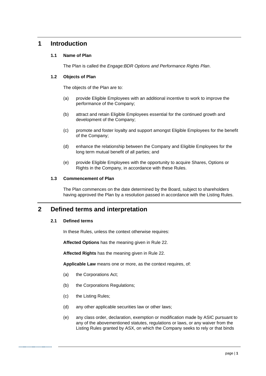# **1 Introduction**

# **1.1 Name of Plan**

The Plan is called the *Engage:BDR Options and Performance Rights Plan*.

# **1.2 Objects of Plan**

The objects of the Plan are to:

- (a) provide Eligible Employees with an additional incentive to work to improve the performance of the Company;
- (b) attract and retain Eligible Employees essential for the continued growth and development of the Company;
- (c) promote and foster loyalty and support amongst Eligible Employees for the benefit of the Company;
- (d) enhance the relationship between the Company and Eligible Employees for the long term mutual benefit of all parties; and
- (e) provide Eligible Employees with the opportunity to acquire Shares, Options or Rights in the Company, in accordance with these Rules.

# **1.3 Commencement of Plan**

The Plan commences on the date determined by the Board, subject to shareholders having approved the Plan by a resolution passed in accordance with the Listing Rules.

# **2 Defined terms and interpretation**

# **2.1 Defined terms**

In these Rules, unless the context otherwise requires:

**Affected Options** has the meaning given in Rule [22.](#page-31-0)

**Affected Rights** has the meaning given in Rule [22.](#page-31-0)

**Applicable Law** means one or more, as the context requires, of:

- (a) the Corporations Act;
- (b) the Corporations Regulations;
- (c) the Listing Rules;
- (d) any other applicable securities law or other laws;
- (e) any class order, declaration, exemption or modification made by ASIC pursuant to any of the abovementioned statutes, regulations or laws, or any waiver from the Listing Rules granted by ASX, on which the Company seeks to rely or that binds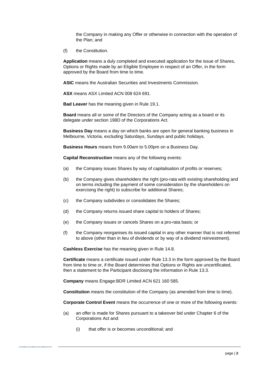the Company in making any Offer or otherwise in connection with the operation of the Plan; and

(f) the Constitution.

**Application** means a duly completed and executed application for the issue of Shares, Options or Rights made by an Eligible Employee in respect of an Offer, in the form approved by the Board from time to time.

**ASIC** means the Australian Securities and Investments Commission.

**ASX** means ASX Limited ACN 008 624 691.

**Bad Leaver** has the meaning given in Rule [19.1.](#page-28-0)

**Board** means all or some of the Directors of the Company acting as a board or its delegate under section 198D of the Corporations Act.

**Business Day** means a day on which banks are open for general banking business in Melbourne, Victoria, excluding Saturdays, Sundays and public holidays.

**Business Hours** means from 9.00am to 5.00pm on a Business Day.

**Capital Reconstruction** means any of the following events:

- (a) the Company issues Shares by way of capitalisation of profits or reserves;
- (b) the Company gives shareholders the right (pro-rata with existing shareholding and on terms including the payment of some consideration by the shareholders on exercising the right) to subscribe for additional Shares;
- (c) the Company subdivides or consolidates the Shares;
- (d) the Company returns issued share capital to holders of Shares;
- (e) the Company issues or cancels Shares on a pro-rata basis; or
- (f) the Company reorganises its issued capital in any other manner that is not referred to above (other than in lieu of dividends or by way of a dividend reinvestment).

**Cashless Exercise** has the meaning given in Rule [14.8.](#page-22-0)

**Certificate** means a certificate issued under Rule [13.3](#page-20-0) in the form approved by the Board from time to time or, if the Board determines that Options or Rights are uncertificated, then a statement to the Participant disclosing the information in Rule [13.3.](#page-20-0)

**Company** means Engage:BDR Limited ACN 621 160 585.

**Constitution** means the constitution of the Company (as amended from time to time).

**Corporate Control Event** means the occurrence of one or more of the following events:

- (a) an offer is made for Shares pursuant to a takeover bid under Chapter 6 of the Corporations Act and:
	- (i) that offer is or becomes unconditional; and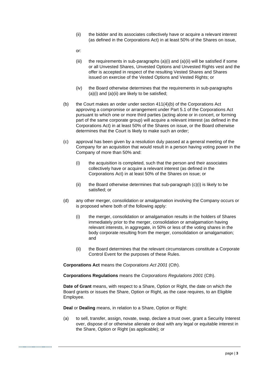- (ii) the bidder and its associates collectively have or acquire a relevant interest (as defined in the Corporations Act) in at least 50% of the Shares on issue,
- or:
- (iii) the requirements in sub-paragraphs  $(a)(i)$  and  $(a)(ii)$  will be satisfied if some or all Unvested Shares, Unvested Options and Unvested Rights vest and the offer is accepted in respect of the resulting Vested Shares and Shares issued on exercise of the Vested Options and Vested Rights; or
- (iv) the Board otherwise determines that the requirements in sub-paragraphs (a)(i) and (a)(ii) are likely to be satisfied;
- (b) the Court makes an order under section  $411(4)(b)$  of the Corporations Act approving a compromise or arrangement under Part 5.1 of the Corporations Act pursuant to which one or more third parties (acting alone or in concert, or forming part of the same corporate group) will acquire a relevant interest (as defined in the Corporations Act) in at least 50% of the Shares on issue, or the Board otherwise determines that the Court is likely to make such an order;
- (c) approval has been given by a resolution duly passed at a general meeting of the Company for an acquisition that would result in a person having voting power in the Company of more than 50% and:
	- (i) the acquisition is completed, such that the person and their associates collectively have or acquire a relevant interest (as defined in the Corporations Act) in at least 50% of the Shares on issue; or
	- (ii) the Board otherwise determines that sub-paragraph  $(c)(i)$  is likely to be satisfied; or
- (d) any other merger, consolidation or amalgamation involving the Company occurs or is proposed where both of the following apply:
	- (i) the merger, consolidation or amalgamation results in the holders of Shares immediately prior to the merger, consolidation or amalgamation having relevant interests, in aggregate, in 50% or less of the voting shares in the body corporate resulting from the merger, consolidation or amalgamation; and
	- (ii) the Board determines that the relevant circumstances constitute a Corporate Control Event for the purposes of these Rules.

**Corporations Act** means the *Corporations Act 2001* (Cth).

**Corporations Regulations** means the *Corporations Regulations 2001* (Cth).

**Date of Grant** means, with respect to a Share, Option or Right, the date on which the Board grants or issues the Share, Option or Right, as the case requires, to an Eligible Employee.

**Deal** or **Dealing** means, in relation to a Share, Option or Right:

(a) to sell, transfer, assign, novate, swap, declare a trust over, grant a Security Interest over, dispose of or otherwise alienate or deal with any legal or equitable interest in the Share, Option or Right (as applicable); or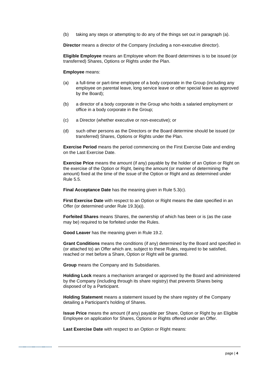(b) taking any steps or attempting to do any of the things set out in paragraph (a).

**Director** means a director of the Company (including a non-executive director).

**Eligible Employee** means an Employee whom the Board determines is to be issued (or transferred) Shares, Options or Rights under the Plan.

#### **Employee** means:

- (a) a full-time or part-time employee of a body corporate in the Group (including any employee on parental leave, long service leave or other special leave as approved by the Board);
- (b) a director of a body corporate in the Group who holds a salaried employment or office in a body corporate in the Group;
- (c) a Director (whether executive or non-executive); or
- (d) such other persons as the Directors or the Board determine should be issued (or transferred) Shares, Options or Rights under the Plan.

**Exercise Period** means the period commencing on the First Exercise Date and ending on the Last Exercise Date.

**Exercise Price** means the amount (if any) payable by the holder of an Option or Right on the exercise of the Option or Right, being the amount (or manner of determining the amount) fixed at the time of the issue of the Option or Right and as determined under Rule [5.5.](#page-14-0)

**Final Acceptance Date** has the meaning given in Rule [5.3\(c\).](#page-13-0)

**First Exercise Date** with respect to an Option or Right means the date specified in an Offer (or determined under Rule [19.3\(a\)\)](#page-29-0).

**Forfeited Shares** means Shares, the ownership of which has been or is (as the case may be) required to be forfeited under the Rules.

**Good Leaver** has the meaning given in Rule [19.2.](#page-29-1)

**Grant Conditions** means the conditions (if any) determined by the Board and specified in (or attached to) an Offer which are, subject to these Rules, required to be satisfied, reached or met before a Share, Option or Right will be granted.

**Group** means the Company and its Subsidiaries.

**Holding Lock** means a mechanism arranged or approved by the Board and administered by the Company (including through its share registry) that prevents Shares being disposed of by a Participant.

**Holding Statement** means a statement issued by the share registry of the Company detailing a Participant's holding of Shares.

**Issue Price** means the amount (if any) payable per Share, Option or Right by an Eligible Employee on application for Shares, Options or Rights offered under an Offer.

**Last Exercise Date** with respect to an Option or Right means: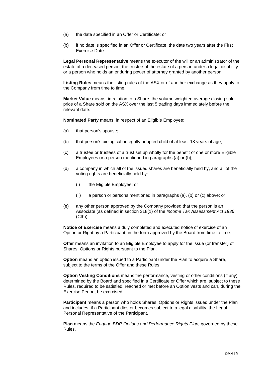- (a) the date specified in an Offer or Certificate; or
- (b) if no date is specified in an Offer or Certificate, the date two years after the First Exercise Date.

**Legal Personal Representative** means the executor of the will or an administrator of the estate of a deceased person, the trustee of the estate of a person under a legal disability or a person who holds an enduring power of attorney granted by another person.

**Listing Rules** means the listing rules of the ASX or of another exchange as they apply to the Company from time to time.

**Market Value** means, in relation to a Share, the volume weighted average closing sale price of a Share sold on the ASX over the last 5 trading days immediately before the relevant date.

**Nominated Party** means, in respect of an Eligible Employee:

- (a) that person's spouse;
- (b) that person's biological or legally adopted child of at least 18 years of age;
- (c) a trustee or trustees of a trust set up wholly for the benefit of one or more Eligible Employees or a person mentioned in paragraphs (a) or (b);
- (d) a company in which all of the issued shares are beneficially held by, and all of the voting rights are beneficially held by:
	- (i) the Eligible Employee; or
	- (ii) a person or persons mentioned in paragraphs (a), (b) or (c) above; or
- (e) any other person approved by the Company provided that the person is an Associate (as defined in section 318(1) of the *Income Tax Assessment Act 1936*  (Cth)).

**Notice of Exercise** means a duly completed and executed notice of exercise of an Option or Right by a Participant, in the form approved by the Board from time to time.

**Offer** means an invitation to an Eligible Employee to apply for the issue (or transfer) of Shares, Options or Rights pursuant to the Plan.

**Option** means an option issued to a Participant under the Plan to acquire a Share, subject to the terms of the Offer and these Rules.

**Option Vesting Conditions** means the performance, vesting or other conditions (if any) determined by the Board and specified in a Certificate or Offer which are, subject to these Rules, required to be satisfied, reached or met before an Option vests and can, during the Exercise Period, be exercised.

**Participant** means a person who holds Shares, Options or Rights issued under the Plan and includes, if a Participant dies or becomes subject to a legal disability, the Legal Personal Representative of the Participant.

**Plan** means the *Engage:BDR Options and Performance Rights Plan,* governed by these Rules.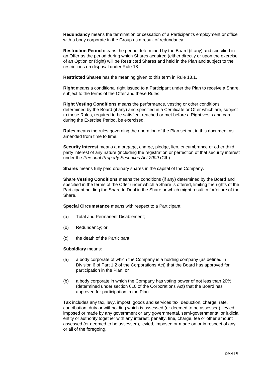**Redundancy** means the termination or cessation of a Participant's employment or office with a body corporate in the Group as a result of redundancy.

**Restriction Period** means the period determined by the Board (if any) and specified in an Offer as the period during which Shares acquired (either directly or upon the exercise of an Option or Right) will be Restricted Shares and held in the Plan and subject to the restrictions on disposal under Rule [18.](#page-27-0)

**Restricted Shares** has the meaning given to this term in Rule [18.1.](#page-27-1)

**Right** means a conditional right issued to a Participant under the Plan to receive a Share, subject to the terms of the Offer and these Rules.

**Right Vesting Conditions** means the performance, vesting or other conditions determined by the Board (if any) and specified in a Certificate or Offer which are, subject to these Rules, required to be satisfied, reached or met before a Right vests and can, during the Exercise Period, be exercised.

**Rules** means the rules governing the operation of the Plan set out in this document as amended from time to time.

**Security Interest** means a mortgage, charge, pledge, lien, encumbrance or other third party interest of any nature (including the registration or perfection of that security interest under the *Personal Property Securities Act 2009* (Cth).

**Shares** means fully paid ordinary shares in the capital of the Company.

**Share Vesting Conditions** means the conditions (if any) determined by the Board and specified in the terms of the Offer under which a Share is offered, limiting the rights of the Participant holding the Share to Deal in the Share or which might result in forfeiture of the Share.

**Special Circumstance** means with respect to a Participant:

- (a) Total and Permanent Disablement;
- (b) Redundancy; or
- (c) the death of the Participant.

#### **Subsidiary** means:

- (a) a body corporate of which the Company is a holding company (as defined in Division 6 of Part 1.2 of the Corporations Act) that the Board has approved for participation in the Plan; or
- (b) a body corporate in which the Company has voting power of not less than 20% (determined under section 610 of the Corporations Act) that the Board has approved for participation in the Plan.

**Tax** includes any tax, levy, impost, goods and services tax, deduction, charge, rate, contribution, duty or withholding which is assessed (or deemed to be assessed), levied, imposed or made by any government or any governmental, semi-governmental or judicial entity or authority together with any interest, penalty, fine, charge, fee or other amount assessed (or deemed to be assessed), levied, imposed or made on or in respect of any or all of the foregoing.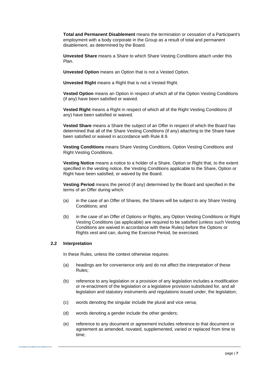**Total and Permanent Disablement** means the termination or cessation of a Participant's employment with a body corporate in the Group as a result of total and permanent disablement, as determined by the Board.

**Unvested Share** means a Share to which Share Vesting Conditions attach under this Plan.

**Unvested Option** means an Option that is not a Vested Option.

**Unvested Right** means a Right that is not a Vested Right.

**Vested Option** means an Option in respect of which all of the Option Vesting Conditions (if any) have been satisfied or waived.

**Vested Right** means a Right in respect of which all of the Right Vesting Conditions (if any) have been satisfied or waived.

**Vested Share** means a Share the subject of an Offer in respect of which the Board has determined that all of the Share Vesting Conditions (if any) attaching to the Share have been satisfied or waived in accordance with Rule [8.9.](#page-18-0)

**Vesting Conditions** means Share Vesting Conditions, Option Vesting Conditions and Right Vesting Conditions.

**Vesting Notice** means a notice to a holder of a Share, Option or Right that, to the extent specified in the vesting notice, the Vesting Conditions applicable to the Share, Option or Right have been satisfied, or waived by the Board.

**Vesting Period** means the period (if any) determined by the Board and specified in the terms of an Offer during which:

- (a) in the case of an Offer of Shares, the Shares will be subject to any Share Vesting Conditions; and
- (b) in the case of an Offer of Options or Rights, any Option Vesting Conditions or Right Vesting Conditions (as applicable) are required to be satisfied (unless such Vesting Conditions are waived in accordance with these Rules) before the Options or Rights vest and can, during the Exercise Period, be exercised.

# **2.2 Interpretation**

In these Rules, unless the context otherwise requires:

- (a) headings are for convenience only and do not affect the interpretation of these Rules;
- (b) reference to any legislation or a provision of any legislation includes a modification or re-enactment of the legislation or a legislative provision substituted for, and all legislation and statutory instruments and regulations issued under, the legislation;
- (c) words denoting the singular include the plural and vice versa;
- (d) words denoting a gender include the other genders;
- (e) reference to any document or agreement includes reference to that document or agreement as amended, novated, supplemented, varied or replaced from time to time;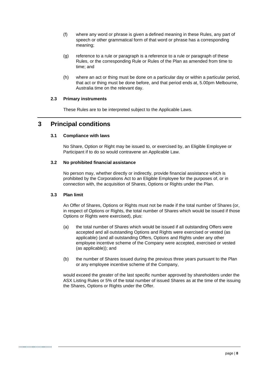- (f) where any word or phrase is given a defined meaning in these Rules, any part of speech or other grammatical form of that word or phrase has a corresponding meaning;
- (g) reference to a rule or paragraph is a reference to a rule or paragraph of these Rules, or the corresponding Rule or Rules of the Plan as amended from time to time; and
- (h) where an act or thing must be done on a particular day or within a particular period, that act or thing must be done before, and that period ends at, 5.00pm Melbourne, Australia time on the relevant day.

# **2.3 Primary instruments**

These Rules are to be interpreted subject to the Applicable Laws.

# <span id="page-12-1"></span><span id="page-12-0"></span>**3 Principal conditions**

# **3.1 Compliance with laws**

No Share, Option or Right may be issued to, or exercised by, an Eligible Employee or Participant if to do so would contravene an Applicable Law.

# **3.2 No prohibited financial assistance**

No person may, whether directly or indirectly, provide financial assistance which is prohibited by the Corporations Act to an Eligible Employee for the purposes of, or in connection with, the acquisition of Shares, Options or Rights under the Plan.

# **3.3 Plan limit**

An Offer of Shares, Options or Rights must not be made if the total number of Shares (or, in respect of Options or Rights, the total number of Shares which would be issued if those Options or Rights were exercised), plus:

- (a) the total number of Shares which would be issued if all outstanding Offers were accepted and all outstanding Options and Rights were exercised or vested (as applicable) (and all outstanding Offers, Options and Rights under any other employee incentive scheme of the Company were accepted, exercised or vested (as applicable)); and
- (b) the number of Shares issued during the previous three years pursuant to the Plan or any employee incentive scheme of the Company,

would exceed the greater of the last specific number approved by shareholders under the ASX Listing Rules or 5% of the total number of issued Shares as at the time of the issuing the Shares, Options or Rights under the Offer.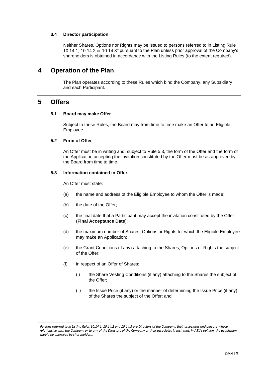### **3.4 Director participation**

Neither Shares, Options nor Rights may be issued to persons referred to in Listing Rule 10.14.1, 10.14.2 or 10.14.3[^](#page-13-2) pursuant to the Plan unless prior approval of the Company's shareholders is obtained in accordance with the Listing Rules (to the extent required).

# **4 Operation of the Plan**

The Plan operates according to these Rules which bind the Company, any Subsidiary and each Participant.

# **5 Offers**

#### **5.1 Board may make Offer**

Subject to these Rules, the Board may from time to time make an Offer to an Eligible Employee.

### **5.2 Form of Offer**

An Offer must be in writing and, subject to Rule [5.3,](#page-13-1) the form of the Offer and the form of the Application accepting the invitation constituted by the Offer must be as approved by the Board from time to time.

#### <span id="page-13-1"></span>**5.3 Information contained in Offer**

An Offer must state:

- (a) the name and address of the Eligible Employee to whom the Offer is made;
- (b) the date of the Offer;
- <span id="page-13-0"></span>(c) the final date that a Participant may accept the invitation constituted by the Offer (**Final Acceptance Date**);
- (d) the maximum number of Shares, Options or Rights for which the Eligible Employee may make an Application;
- (e) the Grant Conditions (if any) attaching to the Shares, Options or Rights the subject of the Offer;
- (f) in respect of an Offer of Shares:
	- (i) the Share Vesting Conditions (if any) attaching to the Shares the subject of the Offer;
	- (ii) the Issue Price (if any) or the manner of determining the Issue Price (if any) of the Shares the subject of the Offer; and

<span id="page-13-2"></span><sup>^</sup> *Persons referred to in Listing Rules 10.14.1, 10.14.2 and 10.14.3 are Directors of the Company, their associates and persons whose relationship with the Company or to any of the Directors of the Company or their associates is such that, in ASX's opinion, the acquisition should be approved by shareholders.*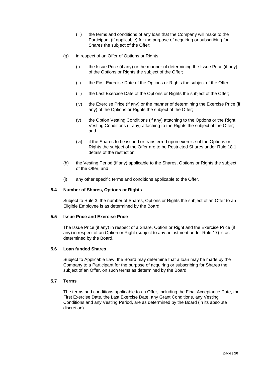- (iii) the terms and conditions of any loan that the Company will make to the Participant (if applicable) for the purpose of acquiring or subscribing for Shares the subject of the Offer;
- (g) in respect of an Offer of Options or Rights:
	- (i) the Issue Price (if any) or the manner of determining the Issue Price (if any) of the Options or Rights the subject of the Offer;
	- (ii) the First Exercise Date of the Options or Rights the subject of the Offer;
	- (iii) the Last Exercise Date of the Options or Rights the subject of the Offer;
	- (iv) the Exercise Price (if any) or the manner of determining the Exercise Price (if any) of the Options or Rights the subject of the Offer;
	- (v) the Option Vesting Conditions (if any) attaching to the Options or the Right Vesting Conditions (if any) attaching to the Rights the subject of the Offer; and
	- (vi) if the Shares to be issued or transferred upon exercise of the Options or Rights the subject of the Offer are to be Restricted Shares under Rule [18.1,](#page-27-1) details of the restriction;
- (h) the Vesting Period (if any) applicable to the Shares, Options or Rights the subject of the Offer; and
- (i) any other specific terms and conditions applicable to the Offer.

# **5.4 Number of Shares, Options or Rights**

Subject to Rule [3,](#page-12-0) the number of Shares, Options or Rights the subject of an Offer to an Eligible Employee is as determined by the Board.

# <span id="page-14-0"></span>**5.5 Issue Price and Exercise Price**

The Issue Price (if any) in respect of a Share, Option or Right and the Exercise Price (if any) in respect of an Option or Right (subject to any adjustment under Rule [17\)](#page-25-0) is as determined by the Board.

# **5.6 Loan funded Shares**

Subject to Applicable Law, the Board may determine that a loan may be made by the Company to a Participant for the purpose of acquiring or subscribing for Shares the subject of an Offer, on such terms as determined by the Board.

# **5.7 Terms**

The terms and conditions applicable to an Offer, including the Final Acceptance Date, the First Exercise Date, the Last Exercise Date, any Grant Conditions, any Vesting Conditions and any Vesting Period, are as determined by the Board (in its absolute discretion).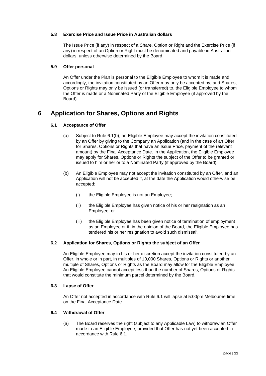# **5.8 Exercise Price and Issue Price in Australian dollars**

The Issue Price (if any) in respect of a Share, Option or Right and the Exercise Price (if any) in respect of an Option or Right must be denominated and payable in Australian dollars, unless otherwise determined by the Board.

#### **5.9 Offer personal**

An Offer under the Plan is personal to the Eligible Employee to whom it is made and, accordingly, the invitation constituted by an Offer may only be accepted by, and Shares, Options or Rights may only be issued (or transferred) to, the Eligible Employee to whom the Offer is made or a Nominated Party of the Eligible Employee (if approved by the Board).

# <span id="page-15-1"></span>**6 Application for Shares, Options and Rights**

# **6.1 Acceptance of Offer**

- (a) Subject to Rule [6.1\(b\),](#page-15-0) an Eligible Employee may accept the invitation constituted by an Offer by giving to the Company an Application (and in the case of an Offer for Shares, Options or Rights that have an Issue Price, payment of the relevant amount) by the Final Acceptance Date. In the Application, the Eligible Employee may apply for Shares, Options or Rights the subject of the Offer to be granted or issued to him or her or to a Nominated Party (if approved by the Board).
- <span id="page-15-0"></span>(b) An Eligible Employee may not accept the invitation constituted by an Offer, and an Application will not be accepted if, at the date the Application would otherwise be accepted:
	- (i) the Eligible Employee is not an Employee;
	- (ii) the Eligible Employee has given notice of his or her resignation as an Employee; or
	- (iii) the Eligible Employee has been given notice of termination of employment as an Employee or if, in the opinion of the Board, the Eligible Employee has tendered his or her resignation to avoid such dismissal'.

# **6.2 Application for Shares, Options or Rights the subject of an Offer**

An Eligible Employee may in his or her discretion accept the invitation constituted by an Offer, in whole or in part, in multiples of 10,000 Shares, Options or Rights or another multiple of Shares, Options or Rights as the Board may allow for the Eligible Employee. An Eligible Employee cannot accept less than the number of Shares, Options or Rights that would constitute the minimum parcel determined by the Board.

# **6.3 Lapse of Offer**

An Offer not accepted in accordance with Rule [6.1](#page-15-1) will lapse at 5:00pm Melbourne time on the Final Acceptance Date.

# <span id="page-15-2"></span>**6.4 Withdrawal of Offer**

(a) The Board reserves the right (subject to any Applicable Law) to withdraw an Offer made to an Eligible Employee, provided that Offer has not yet been accepted in accordance with Rule [6.1.](#page-15-1)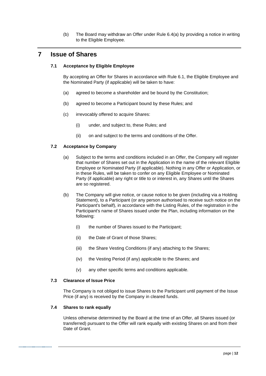(b) The Board may withdraw an Offer under Rule [6.4\(a\)](#page-15-2) by providing a notice in writing to the Eligible Employee.

# **7 Issue of Shares**

# **7.1 Acceptance by Eligible Employee**

By accepting an Offer for Shares in accordance with Rule [6.1,](#page-15-1) the Eligible Employee and the Nominated Party (if applicable) will be taken to have:

- (a) agreed to become a shareholder and be bound by the Constitution;
- (b) agreed to become a Participant bound by these Rules; and
- (c) irrevocably offered to acquire Shares:
	- (i) under, and subject to, these Rules; and
	- (ii) on and subject to the terms and conditions of the Offer.

# **7.2 Acceptance by Company**

- (a) Subject to the terms and conditions included in an Offer, the Company will register that number of Shares set out in the Application in the name of the relevant Eligible Employee or Nominated Party (if applicable). Nothing in any Offer or Application, or in these Rules, will be taken to confer on any Eligible Employee or Nominated Party (if applicable) any right or title to or interest in, any Shares until the Shares are so registered.
- (b) The Company will give notice, or cause notice to be given (including via a Holding Statement), to a Participant (or any person authorised to receive such notice on the Participant's behalf), in accordance with the Listing Rules, of the registration in the Participant's name of Shares issued under the Plan, including information on the following:
	- (i) the number of Shares issued to the Participant;
	- (ii) the Date of Grant of those Shares;
	- (iii) the Share Vesting Conditions (if any) attaching to the Shares;
	- (iv) the Vesting Period (if any) applicable to the Shares; and
	- (v) any other specific terms and conditions applicable.

#### **7.3 Clearance of Issue Price**

The Company is not obliged to issue Shares to the Participant until payment of the Issue Price (if any) is received by the Company in cleared funds.

#### **7.4 Shares to rank equally**

Unless otherwise determined by the Board at the time of an Offer, all Shares issued (or transferred) pursuant to the Offer will rank equally with existing Shares on and from their Date of Grant.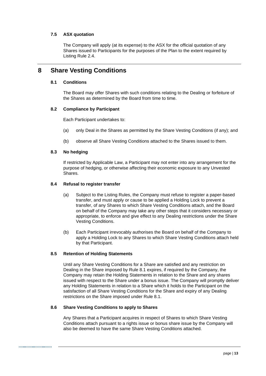# **7.5 ASX quotation**

The Company will apply (at its expense) to the ASX for the official quotation of any Shares issued to Participants for the purposes of the Plan to the extent required by Listing Rule 2.4.

# <span id="page-17-1"></span><span id="page-17-0"></span>**8 Share Vesting Conditions**

# **8.1 Conditions**

The Board may offer Shares with such conditions relating to the Dealing or forfeiture of the Shares as determined by the Board from time to time.

#### **8.2 Compliance by Participant**

Each Participant undertakes to:

- (a) only Deal in the Shares as permitted by the Share Vesting Conditions (if any); and
- (b) observe all Share Vesting Conditions attached to the Shares issued to them.

#### <span id="page-17-2"></span>**8.3 No hedging**

If restricted by Applicable Law, a Participant may not enter into any arrangement for the purpose of hedging, or otherwise affecting their economic exposure to any Unvested Shares.

#### **8.4 Refusal to register transfer**

- (a) Subject to the Listing Rules, the Company must refuse to register a paper-based transfer, and must apply or cause to be applied a Holding Lock to prevent a transfer, of any Shares to which Share Vesting Conditions attach, and the Board on behalf of the Company may take any other steps that it considers necessary or appropriate, to enforce and give effect to any Dealing restrictions under the Share Vesting Conditions.
- (b) Each Participant irrevocably authorises the Board on behalf of the Company to apply a Holding Lock to any Shares to which Share Vesting Conditions attach held by that Participant.

# **8.5 Retention of Holding Statements**

Until any Share Vesting Conditions for a Share are satisfied and any restriction on Dealing in the Share imposed by Rule [8.1](#page-17-0) expires, if required by the Company, the Company may retain the Holding Statements in relation to the Share and any shares issued with respect to the Share under a bonus issue. The Company will promptly deliver any Holding Statements in relation to a Share which it holds to the Participant on the satisfaction of all Share Vesting Conditions for the Share and expiry of any Dealing restrictions on the Share imposed under Rule [8.1.](#page-17-0)

#### **8.6 Share Vesting Conditions to apply to Shares**

Any Shares that a Participant acquires in respect of Shares to which Share Vesting Conditions attach pursuant to a rights issue or bonus share issue by the Company will also be deemed to have the same Share Vesting Conditions attached.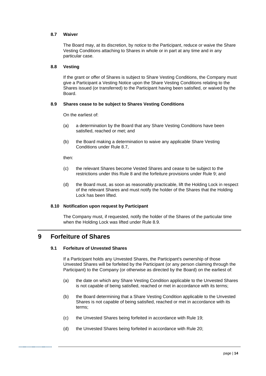### <span id="page-18-1"></span>**8.7 Waiver**

The Board may, at its discretion, by notice to the Participant, reduce or waive the Share Vesting Conditions attaching to Shares in whole or in part at any time and in any particular case.

#### **8.8 Vesting**

If the grant or offer of Shares is subject to Share Vesting Conditions, the Company must give a Participant a Vesting Notice upon the Share Vesting Conditions relating to the Shares issued (or transferred) to the Participant having been satisfied, or waived by the Board.

#### <span id="page-18-0"></span>**8.9 Shares cease to be subject to Shares Vesting Conditions**

On the earliest of:

- (a) a determination by the Board that any Share Vesting Conditions have been satisfied, reached or met; and
- (b) the Board making a determination to waive any applicable Share Vesting Conditions under Rule [8.7,](#page-18-1)

#### then:

- (c) the relevant Shares become Vested Shares and cease to be subject to the restrictions under this Rule [8](#page-17-1) and the forfeiture provisions under Rule [9;](#page-18-2) and
- (d) the Board must, as soon as reasonably practicable, lift the Holding Lock in respect of the relevant Shares and must notify the holder of the Shares that the Holding Lock has been lifted.

# **8.10 Notification upon request by Participant**

The Company must, if requested, notify the holder of the Shares of the particular time when the Holding Lock was lifted under Rule [8.9.](#page-18-0)

# <span id="page-18-2"></span>**9 Forfeiture of Shares**

# **9.1 Forfeiture of Unvested Shares**

If a Participant holds any Unvested Shares, the Participant's ownership of those Unvested Shares will be forfeited by the Participant (or any person claiming through the Participant) to the Company (or otherwise as directed by the Board) on the earliest of:

- (a) the date on which any Share Vesting Condition applicable to the Unvested Shares is not capable of being satisfied, reached or met in accordance with its terms;
- (b) the Board determining that a Share Vesting Condition applicable to the Unvested Shares is not capable of being satisfied, reached or met in accordance with its terms;
- (c) the Unvested Shares being forfeited in accordance with Rule [19;](#page-28-1)
- (d) the Unvested Shares being forfeited in accordance with Rule [20;](#page-30-0)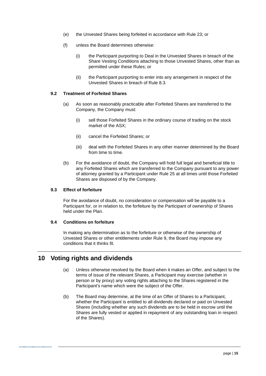- (e) the Unvested Shares being forfeited in accordance with Rule [23;](#page-31-1) or
- (f) unless the Board determines otherwise:
	- (i) the Participant purporting to Deal in the Unvested Shares in breach of the Share Vesting Conditions attaching to those Unvested Shares, other than as permitted under these Rules; or
	- (ii) the Participant purporting to enter into any arrangement in respect of the Unvested Shares in breach of Rule [8.3.](#page-17-2)

### **9.2 Treatment of Forfeited Shares**

- (a) As soon as reasonably practicable after Forfeited Shares are transferred to the Company, the Company must:
	- (i) sell those Forfeited Shares in the ordinary course of trading on the stock market of the ASX;
	- (ii) cancel the Forfeited Shares; or
	- (iii) deal with the Forfeited Shares in any other manner determined by the Board from time to time.
- (b) For the avoidance of doubt, the Company will hold full legal and beneficial title to any Forfeited Shares which are transferred to the Company pursuant to any power of attorney granted by a Participant under Rule [25](#page-32-0) at all times until those Forfeited Shares are disposed of by the Company.

# **9.3 Effect of forfeiture**

For the avoidance of doubt, no consideration or compensation will be payable to a Participant for, or in relation to, the forfeiture by the Participant of ownership of Shares held under the Plan.

# **9.4 Conditions on forfeiture**

In making any determination as to the forfeiture or otherwise of the ownership of Unvested Shares or other entitlements under Rule [9,](#page-18-2) the Board may impose any conditions that it thinks fit.

# **10 Voting rights and dividends**

- (a) Unless otherwise resolved by the Board when it makes an Offer, and subject to the terms of issue of the relevant Shares, a Participant may exercise (whether in person or by proxy) any voting rights attaching to the Shares registered in the Participant's name which were the subject of the Offer.
- (b) The Board may determine, at the time of an Offer of Shares to a Participant, whether the Participant is entitled to all dividends declared or paid on Unvested Shares (including whether any such dividends are to be held in escrow until the Shares are fully vested or applied in repayment of any outstanding loan in respect of the Shares).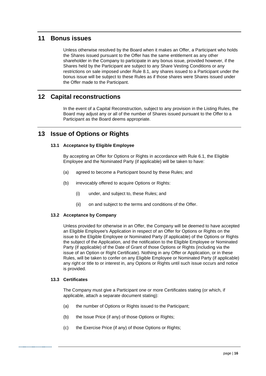# **11 Bonus issues**

Unless otherwise resolved by the Board when it makes an Offer, a Participant who holds the Shares issued pursuant to the Offer has the same entitlement as any other shareholder in the Company to participate in any bonus issue, provided however, if the Shares held by the Participant are subject to any Share Vesting Conditions or any restrictions on sale imposed under Rule [8.1,](#page-17-0) any shares issued to a Participant under the bonus issue will be subject to these Rules as if those shares were Shares issued under the Offer made to the Participant.

# **12 Capital reconstructions**

In the event of a Capital Reconstruction, subject to any provision in the Listing Rules, the Board may adjust any or all of the number of Shares issued pursuant to the Offer to a Participant as the Board deems appropriate.

# **13 Issue of Options or Rights**

# **13.1 Acceptance by Eligible Employee**

By accepting an Offer for Options or Rights in accordance with Rule [6.1,](#page-15-1) the Eligible Employee and the Nominated Party (if applicable) will be taken to have:

- (a) agreed to become a Participant bound by these Rules; and
- (b) irrevocably offered to acquire Options or Rights:
	- (i) under, and subject to, these Rules; and
	- (ii) on and subject to the terms and conditions of the Offer.

# **13.2 Acceptance by Company**

Unless provided for otherwise in an Offer, the Company will be deemed to have accepted an Eligible Employee's Application in respect of an Offer for Options or Rights on the issue to the Eligible Employee or Nominated Party (if applicable) of the Options or Rights the subject of the Application, and the notification to the Eligible Employee or Nominated Party (if applicable) of the Date of Grant of those Options or Rights (including via the issue of an Option or Right Certificate). Nothing in any Offer or Application, or in these Rules, will be taken to confer on any Eligible Employee or Nominated Party (if applicable) any right or title to or interest in, any Options or Rights until such issue occurs and notice is provided.

# <span id="page-20-0"></span>**13.3 Certificates**

The Company must give a Participant one or more Certificates stating (or which, if applicable, attach a separate document stating):

- (a) the number of Options or Rights issued to the Participant;
- (b) the Issue Price (if any) of those Options or Rights;
- (c) the Exercise Price (if any) of those Options or Rights;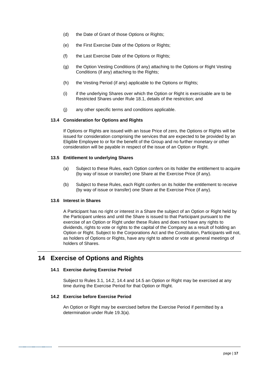- (d) the Date of Grant of those Options or Rights;
- (e) the First Exercise Date of the Options or Rights;
- (f) the Last Exercise Date of the Options or Rights;
- (g) the Option Vesting Conditions (if any) attaching to the Options or Right Vesting Conditions (if any) attaching to the Rights;
- (h) the Vesting Period (if any) applicable to the Options or Rights;
- (i) if the underlying Shares over which the Option or Right is exercisable are to be Restricted Shares under Rule [18.1,](#page-27-1) details of the restriction; and
- (j) any other specific terms and conditions applicable.

#### **13.4 Consideration for Options and Rights**

If Options or Rights are issued with an Issue Price of zero, the Options or Rights will be issued for consideration comprising the services that are expected to be provided by an Eligible Employee to or for the benefit of the Group and no further monetary or other consideration will be payable in respect of the issue of an Option or Right.

#### **13.5 Entitlement to underlying Shares**

- (a) Subject to these Rules, each Option confers on its holder the entitlement to acquire (by way of issue or transfer) one Share at the Exercise Price (if any).
- (b) Subject to these Rules, each Right confers on its holder the entitlement to receive (by way of issue or transfer) one Share at the Exercise Price (if any).

#### **13.6 Interest in Shares**

A Participant has no right or interest in a Share the subject of an Option or Right held by the Participant unless and until the Share is issued to that Participant pursuant to the exercise of an Option or Right under these Rules and does not have any rights to dividends, rights to vote or rights to the capital of the Company as a result of holding an Option or Right. Subject to the Corporations Act and the Constitution, Participants will not, as holders of Options or Rights, have any right to attend or vote at general meetings of holders of Shares.

# **14 Exercise of Options and Rights**

# **14.1 Exercise during Exercise Period**

Subject to Rules [3.1,](#page-12-1) [14.2,](#page-21-0) [14.4](#page-22-1) and [14.5](#page-22-2) an Option or Right may be exercised at any time during the Exercise Period for that Option or Right.

### <span id="page-21-0"></span>**14.2 Exercise before Exercise Period**

An Option or Right may be exercised before the Exercise Period if permitted by a determination under Rule [19.3\(a\).](#page-29-0)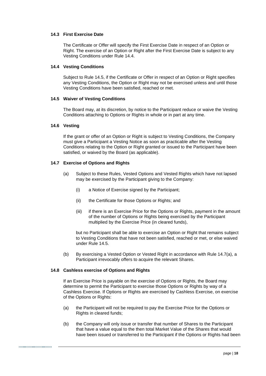# **14.3 First Exercise Date**

The Certificate or Offer will specify the First Exercise Date in respect of an Option or Right. The exercise of an Option or Right after the First Exercise Date is subject to any Vesting Conditions under Rule [14.4.](#page-22-1)

### <span id="page-22-1"></span>**14.4 Vesting Conditions**

Subject to Rule [14.5,](#page-22-2) if the Certificate or Offer in respect of an Option or Right specifies any Vesting Conditions, the Option or Right may not be exercised unless and until those Vesting Conditions have been satisfied, reached or met.

#### <span id="page-22-2"></span>**14.5 Waiver of Vesting Conditions**

The Board may, at its discretion, by notice to the Participant reduce or waive the Vesting Conditions attaching to Options or Rights in whole or in part at any time.

#### **14.6 Vesting**

If the grant or offer of an Option or Right is subject to Vesting Conditions, the Company must give a Participant a Vesting Notice as soon as practicable after the Vesting Conditions relating to the Option or Right granted or issued to the Participant have been satisfied, or waived by the Board (as applicable).

# <span id="page-22-3"></span>**14.7 Exercise of Options and Rights**

- (a) Subject to these Rules, Vested Options and Vested Rights which have not lapsed may be exercised by the Participant giving to the Company:
	- (i) a Notice of Exercise signed by the Participant;
	- (ii) the Certificate for those Options or Rights; and
	- (iii) if there is an Exercise Price for the Options or Rights, payment in the amount of the number of Options or Rights being exercised by the Participant multiplied by the Exercise Price (in cleared funds),

but no Participant shall be able to exercise an Option or Right that remains subject to Vesting Conditions that have not been satisfied, reached or met, or else waived under Rule [14.5.](#page-22-2)

(b) By exercising a Vested Option or Vested Right in accordance with Rule [14.7\(a\),](#page-22-3) a Participant irrevocably offers to acquire the relevant Shares.

#### <span id="page-22-0"></span>**14.8 Cashless exercise of Options and Rights**

If an Exercise Price is payable on the exercise of Options or Rights, the Board may determine to permit the Participant to exercise those Options or Rights by way of a Cashless Exercise. If Options or Rights are exercised by Cashless Exercise, on exercise of the Options or Rights:

- (a) the Participant will not be required to pay the Exercise Price for the Options or Rights in cleared funds;
- (b) the Company will only issue or transfer that number of Shares to the Participant that have a value equal to the then total Market Value of the Shares that would have been issued or transferred to the Participant if the Options or Rights had been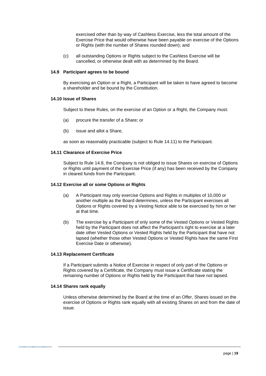exercised other than by way of Cashless Exercise, less the total amount of the Exercise Price that would otherwise have been payable on exercise of the Options or Rights (with the number of Shares rounded down); and

(c) all outstanding Options or Rights subject to the Cashless Exercise will be cancelled, or otherwise dealt with as determined by the Board.

#### **14.9 Participant agrees to be bound**

By exercising an Option or a Right, a Participant will be taken to have agreed to become a shareholder and be bound by the Constitution.

#### **14.10 Issue of Shares**

Subject to these Rules, on the exercise of an Option or a Right, the Company must:

- (a) procure the transfer of a Share; or
- (b) issue and allot a Share,

as soon as reasonably practicable (subject to Rule [14.11\)](#page-23-0) to the Participant.

#### <span id="page-23-0"></span>**14.11 Clearance of Exercise Price**

Subject to Rule [14.8,](#page-22-0) the Company is not obliged to issue Shares on exercise of Options or Rights until payment of the Exercise Price (if any) has been received by the Company in cleared funds from the Participant.

### **14.12 Exercise all or some Options or Rights**

- (a) A Participant may only exercise Options and Rights in multiples of 10,000 or another multiple as the Board determines, unless the Participant exercises all Options or Rights covered by a Vesting Notice able to be exercised by him or her at that time.
- (b) The exercise by a Participant of only some of the Vested Options or Vested Rights held by the Participant does not affect the Participant's right to exercise at a later date other Vested Options or Vested Rights held by the Participant that have not lapsed (whether those other Vested Options or Vested Rights have the same First Exercise Date or otherwise).

#### **14.13 Replacement Certificate**

If a Participant submits a Notice of Exercise in respect of only part of the Options or Rights covered by a Certificate, the Company must issue a Certificate stating the remaining number of Options or Rights held by the Participant that have not lapsed.

#### **14.14 Shares rank equally**

Unless otherwise determined by the Board at the time of an Offer, Shares issued on the exercise of Options or Rights rank equally with all existing Shares on and from the date of issue.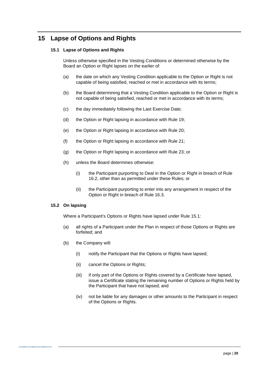# <span id="page-24-1"></span><span id="page-24-0"></span>**15 Lapse of Options and Rights**

# **15.1 Lapse of Options and Rights**

Unless otherwise specified in the Vesting Conditions or determined otherwise by the Board an Option or Right lapses on the earlier of:

- (a) the date on which any Vesting Condition applicable to the Option or Right is not capable of being satisfied, reached or met in accordance with its terms;
- (b) the Board determining that a Vesting Condition applicable to the Option or Right is not capable of being satisfied, reached or met in accordance with its terms;
- (c) the day immediately following the Last Exercise Date;
- (d) the Option or Right lapsing in accordance with Rule [19;](#page-28-1)
- (e) the Option or Right lapsing in accordance with Rule [20;](#page-30-0)
- (f) the Option or Right lapsing in accordance with Rule 21;
- (g) the Option or Right lapsing in accordance with Rule [23;](#page-31-1) or
- (h) unless the Board determines otherwise:
	- (i) the Participant purporting to Deal in the Option or Right in breach of Rule [16.2,](#page-25-1) other than as permitted under these Rules; or
	- (ii) the Participant purporting to enter into any arrangement in respect of the Option or Right in breach of Rule [16.3.](#page-25-2)

# **15.2 On lapsing**

Where a Participant's Options or Rights have lapsed under Rule [15.1:](#page-24-0)

- (a) all rights of a Participant under the Plan in respect of those Options or Rights are forfeited; and
- (b) the Company will:
	- (i) notify the Participant that the Options or Rights have lapsed;
	- (ii) cancel the Options or Rights;
	- (iii) if only part of the Options or Rights covered by a Certificate have lapsed, issue a Certificate stating the remaining number of Options or Rights held by the Participant that have not lapsed; and
	- (iv) not be liable for any damages or other amounts to the Participant in respect of the Options or Rights.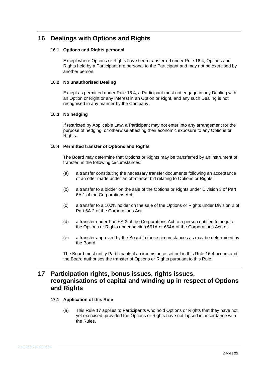# **16 Dealings with Options and Rights**

# **16.1 Options and Rights personal**

Except where Options or Rights have been transferred under Rule [16.4,](#page-25-3) Options and Rights held by a Participant are personal to the Participant and may not be exercised by another person.

# <span id="page-25-1"></span>**16.2 No unauthorised Dealing**

Except as permitted under Rule [16.4,](#page-25-3) a Participant must not engage in any Dealing with an Option or Right or any interest in an Option or Right, and any such Dealing is not recognised in any manner by the Company.

# <span id="page-25-2"></span>**16.3 No hedging**

If restricted by Applicable Law, a Participant may not enter into any arrangement for the purpose of hedging, or otherwise affecting their economic exposure to any Options or Rights.

# <span id="page-25-3"></span>**16.4 Permitted transfer of Options and Rights**

The Board may determine that Options or Rights may be transferred by an instrument of transfer, in the following circumstances:

- (a) a transfer constituting the necessary transfer documents following an acceptance of an offer made under an off-market bid relating to Options or Rights;
- (b) a transfer to a bidder on the sale of the Options or Rights under Division 3 of Part 6A.1 of the Corporations Act;
- (c) a transfer to a 100% holder on the sale of the Options or Rights under Division 2 of Part 6A.2 of the Corporations Act;
- (d) a transfer under Part 6A.3 of the Corporations Act to a person entitled to acquire the Options or Rights under section 661A or 664A of the Corporations Act; or
- (e) a transfer approved by the Board in those circumstances as may be determined by the Board.

The Board must notify Participants if a circumstance set out in this Rule [16.4](#page-25-3) occurs and the Board authorises the transfer of Options or Rights pursuant to this Rule.

# <span id="page-25-0"></span>**17 Participation rights, bonus issues, rights issues, reorganisations of capital and winding up in respect of Options and Rights**

# **17.1 Application of this Rule**

(a) This Rule [17](#page-25-0) applies to Participants who hold Options or Rights that they have not yet exercised, provided the Options or Rights have not lapsed in accordance with the Rules.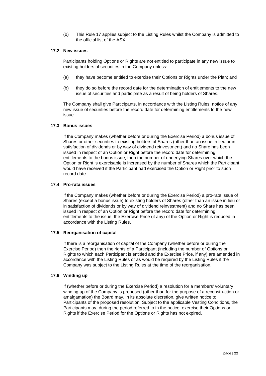(b) This Rule [17](#page-25-0) applies subject to the Listing Rules whilst the Company is admitted to the official list of the ASX.

#### **17.2 New issues**

Participants holding Options or Rights are not entitled to participate in any new issue to existing holders of securities in the Company unless:

- (a) they have become entitled to exercise their Options or Rights under the Plan; and
- (b) they do so before the record date for the determination of entitlements to the new issue of securities and participate as a result of being holders of Shares.

The Company shall give Participants, in accordance with the Listing Rules, notice of any new issue of securities before the record date for determining entitlements to the new issue.

# **17.3 Bonus issues**

If the Company makes (whether before or during the Exercise Period) a bonus issue of Shares or other securities to existing holders of Shares (other than an issue in lieu or in satisfaction of dividends or by way of dividend reinvestment) and no Share has been issued in respect of an Option or Right before the record date for determining entitlements to the bonus issue, then the number of underlying Shares over which the Option or Right is exercisable is increased by the number of Shares which the Participant would have received if the Participant had exercised the Option or Right prior to such record date.

### **17.4 Pro-rata issues**

If the Company makes (whether before or during the Exercise Period) a pro-rata issue of Shares (except a bonus issue) to existing holders of Shares (other than an issue in lieu or in satisfaction of dividends or by way of dividend reinvestment) and no Share has been issued in respect of an Option or Right before the record date for determining entitlements to the issue, the Exercise Price (if any) of the Option or Right is reduced in accordance with the Listing Rules.

# **17.5 Reorganisation of capital**

If there is a reorganisation of capital of the Company (whether before or during the Exercise Period) then the rights of a Participant (including the number of Options or Rights to which each Participant is entitled and the Exercise Price, if any) are amended in accordance with the Listing Rules or as would be required by the Listing Rules if the Company was subject to the Listing Rules at the time of the reorganisation.

#### **17.6 Winding up**

If (whether before or during the Exercise Period) a resolution for a members' voluntary winding up of the Company is proposed (other than for the purpose of a reconstruction or amalgamation) the Board may, in its absolute discretion, give written notice to Participants of the proposed resolution. Subject to the applicable Vesting Conditions, the Participants may, during the period referred to in the notice, exercise their Options or Rights if the Exercise Period for the Options or Rights has not expired.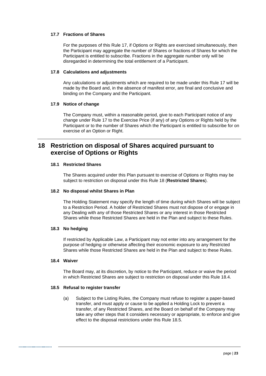# **17.7 Fractions of Shares**

For the purposes of this Rule [17,](#page-25-0) if Options or Rights are exercised simultaneously, then the Participant may aggregate the number of Shares or fractions of Shares for which the Participant is entitled to subscribe. Fractions in the aggregate number only will be disregarded in determining the total entitlement of a Participant.

#### **17.8 Calculations and adjustments**

Any calculations or adjustments which are required to be made under this Rule [17](#page-25-0) will be made by the Board and, in the absence of manifest error, are final and conclusive and binding on the Company and the Participant.

#### **17.9 Notice of change**

The Company must, within a reasonable period, give to each Participant notice of any change under Rule [17](#page-25-0) to the Exercise Price (if any) of any Options or Rights held by the Participant or to the number of Shares which the Participant is entitled to subscribe for on exercise of an Option or Right.

# <span id="page-27-0"></span>**18 Restriction on disposal of Shares acquired pursuant to exercise of Options or Rights**

### <span id="page-27-1"></span>**18.1 Restricted Shares**

The Shares acquired under this Plan pursuant to exercise of Options or Rights may be subject to restriction on disposal under this Rule [18](#page-27-0) (**Restricted Shares**).

#### **18.2 No disposal whilst Shares in Plan**

The Holding Statement may specify the length of time during which Shares will be subject to a Restriction Period. A holder of Restricted Shares must not dispose of or engage in any Dealing with any of those Restricted Shares or any interest in those Restricted Shares while those Restricted Shares are held in the Plan and subject to these Rules.

#### **18.3 No hedging**

If restricted by Applicable Law, a Participant may not enter into any arrangement for the purpose of hedging or otherwise affecting their economic exposure to any Restricted Shares while those Restricted Shares are held in the Plan and subject to these Rules.

#### <span id="page-27-2"></span>**18.4 Waiver**

The Board may, at its discretion, by notice to the Participant, reduce or waive the period in which Restricted Shares are subject to restriction on disposal under this Rule [18.4.](#page-27-2)

#### <span id="page-27-3"></span>**18.5 Refusal to register transfer**

(a) Subject to the Listing Rules, the Company must refuse to register a paper-based transfer, and must apply or cause to be applied a Holding Lock to prevent a transfer, of any Restricted Shares, and the Board on behalf of the Company may take any other steps that it considers necessary or appropriate, to enforce and give effect to the disposal restrictions under this Rule [18.5.](#page-27-3)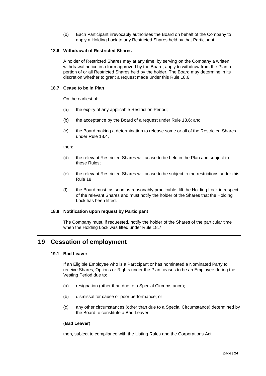(b) Each Participant irrevocably authorises the Board on behalf of the Company to apply a Holding Lock to any Restricted Shares held by that Participant.

### <span id="page-28-2"></span>**18.6 Withdrawal of Restricted Shares**

A holder of Restricted Shares may at any time, by serving on the Company a written withdrawal notice in a form approved by the Board, apply to withdraw from the Plan a portion of or all Restricted Shares held by the holder. The Board may determine in its discretion whether to grant a request made under this Rule [18.6.](#page-28-2)

#### <span id="page-28-3"></span>**18.7 Cease to be in Plan**

On the earliest of:

- (a) the expiry of any applicable Restriction Period;
- (b) the acceptance by the Board of a request under Rule [18.6;](#page-28-2) and
- (c) the Board making a determination to release some or all of the Restricted Shares under Rule [18.4,](#page-27-2)

then:

- (d) the relevant Restricted Shares will cease to be held in the Plan and subject to these Rules;
- (e) the relevant Restricted Shares will cease to be subject to the restrictions under this Rule [18;](#page-27-0)
- (f) the Board must, as soon as reasonably practicable, lift the Holding Lock in respect of the relevant Shares and must notify the holder of the Shares that the Holding Lock has been lifted.

#### **18.8 Notification upon request by Participant**

The Company must, if requested, notify the holder of the Shares of the particular time when the Holding Lock was lifted under Rule [18.7.](#page-28-3)

# <span id="page-28-1"></span><span id="page-28-0"></span>**19 Cessation of employment**

#### **19.1 Bad Leaver**

If an Eligible Employee who is a Participant or has nominated a Nominated Party to receive Shares, Options or Rights under the Plan ceases to be an Employee during the Vesting Period due to:

- (a) resignation (other than due to a Special Circumstance);
- (b) dismissal for cause or poor performance; or
- (c) any other circumstances (other than due to a Special Circumstance) determined by the Board to constitute a Bad Leaver,

#### (**Bad Leaver**)

then, subject to compliance with the Listing Rules and the Corporations Act: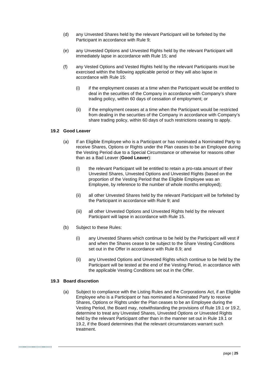- (d) any Unvested Shares held by the relevant Participant will be forfeited by the Participant in accordance with Rule [9;](#page-18-2)
- (e) any Unvested Options and Unvested Rights held by the relevant Participant will immediately lapse in accordance with Rule [15;](#page-24-1) and
- (f) any Vested Options and Vested Rights held by the relevant Participants must be exercised within the following applicable period or they will also lapse in accordance with Rule [15:](#page-24-1)
	- (i) if the employment ceases at a time when the Participant would be entitled to deal in the securities of the Company in accordance with Company's share trading policy, within 60 days of cessation of employment; or
	- (ii) if the employment ceases at a time when the Participant would be restricted from dealing in the securities of the Company in accordance with Company's share trading policy, within 60 days of such restrictions ceasing to apply.

# <span id="page-29-1"></span>**19.2 Good Leaver**

- (a) If an Eligible Employee who is a Participant or has nominated a Nominated Party to receive Shares, Options or Rights under the Plan ceases to be an Employee during the Vesting Period due to a Special Circumstance or otherwise for reasons other than as a Bad Leaver (**Good Leaver**):
	- (i) the relevant Participant will be entitled to retain a pro-rata amount of their Unvested Shares, Unvested Options and Unvested Rights (based on the proportion of the Vesting Period that the Eligible Employee was an Employee, by reference to the number of whole months employed);
	- (ii) all other Unvested Shares held by the relevant Participant will be forfeited by the Participant in accordance with Rule [9;](#page-18-2) and
	- (iii) all other Unvested Options and Unvested Rights held by the relevant Participant will lapse in accordance with Rule [15.](#page-24-1)
- (b) Subject to these Rules:
	- (i) any Unvested Shares which continue to be held by the Participant will vest if and when the Shares cease to be subject to the Share Vesting Conditions set out in the Offer in accordance with Rule [8.9;](#page-18-0) and
	- (ii) any Unvested Options and Unvested Rights which continue to be held by the Participant will be tested at the end of the Vesting Period, in accordance with the applicable Vesting Conditions set out in the Offer.

### <span id="page-29-0"></span>**19.3 Board discretion**

(a) Subject to compliance with the Listing Rules and the Corporations Act, if an Eligible Employee who is a Participant or has nominated a Nominated Party to receive Shares, Options or Rights under the Plan ceases to be an Employee during the Vesting Period, the Board may, notwithstanding the provisions of Rule [19.1](#page-28-0) or [19.2,](#page-29-1) determine to treat any Unvested Shares, Unvested Options or Unvested Rights held by the relevant Participant other than in the manner set out in Rule [19.1](#page-28-0) or [19.2,](#page-29-1) if the Board determines that the relevant circumstances warrant such treatment.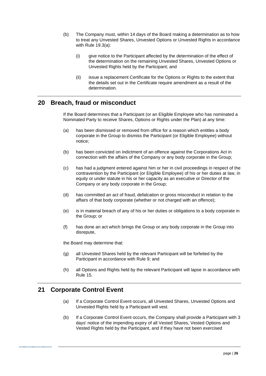- (b) The Company must, within 14 days of the Board making a determination as to how to treat any Unvested Shares, Unvested Options or Unvested Rights in accordance with Rule [19.3\(a\):](#page-29-0)
	- (i) give notice to the Participant affected by the determination of the effect of the determination on the remaining Unvested Shares, Unvested Options or Unvested Rights held by the Participant; and
	- (ii) issue a replacement Certificate for the Options or Rights to the extent that the details set out in the Certificate require amendment as a result of the determination.

# <span id="page-30-0"></span>**20 Breach, fraud or misconduct**

If the Board determines that a Participant (or an Eligible Employee who has nominated a Nominated Party to receive Shares, Options or Rights under the Plan) at any time:

- (a) has been dismissed or removed from office for a reason which entitles a body corporate in the Group to dismiss the Participant (or Eligible Employee) without notice;
- (b) has been convicted on indictment of an offence against the Corporations Act in connection with the affairs of the Company or any body corporate in the Group;
- (c) has had a judgment entered against him or her in civil proceedings in respect of the contravention by the Participant (or Eligible Employee) of his or her duties at law, in equity or under statute in his or her capacity as an executive or Director of the Company or any body corporate in the Group;
- (d) has committed an act of fraud, defalcation or gross misconduct in relation to the affairs of that body corporate (whether or not charged with an offence);
- (e) is in material breach of any of his or her duties or obligations to a body corporate in the Group; or
- (f) has done an act which brings the Group or any body corporate in the Group into disrepute,

the Board may determine that:

- (g) all Unvested Shares held by the relevant Participant will be forfeited by the Participant in accordance with Rule [9;](#page-18-2) and
- (h) all Options and Rights held by the relevant Participant will lapse in accordance with Rule [15.](#page-24-1)

# **21 Corporate Control Event**

- (a) If a Corporate Control Event occurs, all Unvested Shares, Unvested Options and Unvested Rights held by a Participant will vest.
- (b) If a Corporate Control Event occurs, the Company shall provide a Participant with 3 days' notice of the impending expiry of all Vested Shares, Vested Options and Vested Rights held by the Participant, and if they have not been exercised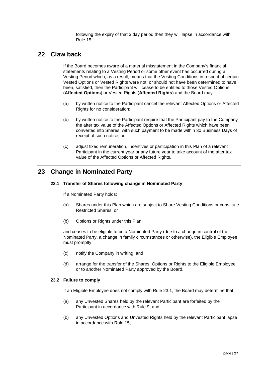following the expiry of that 3 day period then they will lapse in accordance with Rule 15.

# <span id="page-31-0"></span>**22 Claw back**

If the Board becomes aware of a material misstatement in the Company's financial statements relating to a Vesting Period or some other event has occurred during a Vesting Period which, as a result, means that the Vesting Conditions in respect of certain Vested Options or Vested Rights were not, or should not have been determined to have been, satisfied, then the Participant will cease to be entitled to those Vested Options (**Affected Options**) or Vested Rights (**Affected Rights**) and the Board may:

- (a) by written notice to the Participant cancel the relevant Affected Options or Affected Rights for no consideration;
- (b) by written notice to the Participant require that the Participant pay to the Company the after tax value of the Affected Options or Affected Rights which have been converted into Shares, with such payment to be made within 30 Business Days of receipt of such notice; or
- (c) adjust fixed remuneration, incentives or participation in this Plan of a relevant Participant in the current year or any future year to take account of the after tax value of the Affected Options or Affected Rights.

# <span id="page-31-2"></span><span id="page-31-1"></span>**23 Change in Nominated Party**

# **23.1 Transfer of Shares following change in Nominated Party**

If a Nominated Party holds:

- (a) Shares under this Plan which are subject to Share Vesting Conditions or constitute Restricted Shares; or
- (b) Options or Rights under this Plan,

and ceases to be eligible to be a Nominated Party (due to a change in control of the Nominated Party, a change in family circumstances or otherwise), the Eligible Employee must promptly:

- (c) notify the Company in writing; and
- (d) arrange for the transfer of the Shares, Options or Rights to the Eligible Employee or to another Nominated Party approved by the Board.

#### **23.2 Failure to comply**

If an Eligible Employee does not comply with Rule [23.1,](#page-31-2) the Board may determine that:

- (a) any Unvested Shares held by the relevant Participant are forfeited by the Participant in accordance with Rule [9;](#page-18-2) and
- (b) any Unvested Options and Unvested Rights held by the relevant Participant lapse in accordance with Rule [15,](#page-24-1)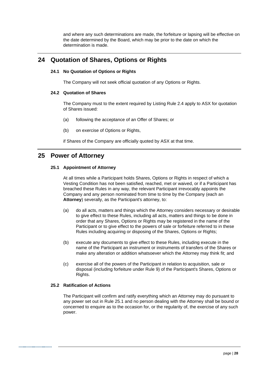and where any such determinations are made, the forfeiture or lapsing will be effective on the date determined by the Board, which may be prior to the date on which the determination is made.

# **24 Quotation of Shares, Options or Rights**

# **24.1 No Quotation of Options or Rights**

The Company will not seek official quotation of any Options or Rights.

# **24.2 Quotation of Shares**

The Company must to the extent required by Listing Rule 2.4 apply to ASX for quotation of Shares issued:

- (a) following the acceptance of an Offer of Shares; or
- (b) on exercise of Options or Rights,

if Shares of the Company are officially quoted by ASX at that time.

# <span id="page-32-1"></span><span id="page-32-0"></span>**25 Power of Attorney**

# **25.1 Appointment of Attorney**

At all times while a Participant holds Shares, Options or Rights in respect of which a Vesting Condition has not been satisfied, reached, met or waived, or if a Participant has breached these Rules in any way, the relevant Participant irrevocably appoints the Company and any person nominated from time to time by the Company (each an **Attorney**) severally, as the Participant's attorney, to:

- (a) do all acts, matters and things which the Attorney considers necessary or desirable to give effect to these Rules, including all acts, matters and things to be done in order that any Shares, Options or Rights may be registered in the name of the Participant or to give effect to the powers of sale or forfeiture referred to in these Rules including acquiring or disposing of the Shares, Options or Rights;
- (b) execute any documents to give effect to these Rules, including execute in the name of the Participant an instrument or instruments of transfers of the Shares or make any alteration or addition whatsoever which the Attorney may think fit; and
- (c) exercise all of the powers of the Participant in relation to acquisition, sale or disposal (including forfeiture under Rule [9\)](#page-18-2) of the Participant's Shares, Options or Rights.

# **25.2 Ratification of Actions**

The Participant will confirm and ratify everything which an Attorney may do pursuant to any power set out in Rule [25.1](#page-32-1) and no person dealing with the Attorney shall be bound or concerned to enquire as to the occasion for, or the regularity of, the exercise of any such power.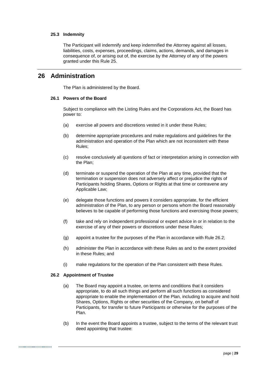# **25.3 Indemnity**

The Participant will indemnify and keep indemnified the Attorney against all losses, liabilities, costs, expenses, proceedings, claims, actions, demands, and damages in consequence of, or arising out of, the exercise by the Attorney of any of the powers granted under this Rule [25.](#page-32-0)

# **26 Administration**

The Plan is administered by the Board.

# **26.1 Powers of the Board**

Subject to compliance with the Listing Rules and the Corporations Act, the Board has power to:

- (a) exercise all powers and discretions vested in it under these Rules;
- (b) determine appropriate procedures and make regulations and guidelines for the administration and operation of the Plan which are not inconsistent with these Rules;
- (c) resolve conclusively all questions of fact or interpretation arising in connection with the Plan;
- (d) terminate or suspend the operation of the Plan at any time, provided that the termination or suspension does not adversely affect or prejudice the rights of Participants holding Shares, Options or Rights at that time or contravene any Applicable Law;
- (e) delegate those functions and powers it considers appropriate, for the efficient administration of the Plan, to any person or persons whom the Board reasonably believes to be capable of performing those functions and exercising those powers;
- (f) take and rely on independent professional or expert advice in or in relation to the exercise of any of their powers or discretions under these Rules;
- (g) appoint a trustee for the purposes of the Plan in accordance with Rule [26.2;](#page-33-0)
- (h) administer the Plan in accordance with these Rules as and to the extent provided in these Rules; and
- (i) make regulations for the operation of the Plan consistent with these Rules.

# <span id="page-33-0"></span>**26.2 Appointment of Trustee**

- (a) The Board may appoint a trustee, on terms and conditions that it considers appropriate, to do all such things and perform all such functions as considered appropriate to enable the implementation of the Plan, including to acquire and hold Shares, Options, Rights or other securities of the Company, on behalf of Participants, for transfer to future Participants or otherwise for the purposes of the Plan.
- (b) In the event the Board appoints a trustee, subject to the terms of the relevant trust deed appointing that trustee: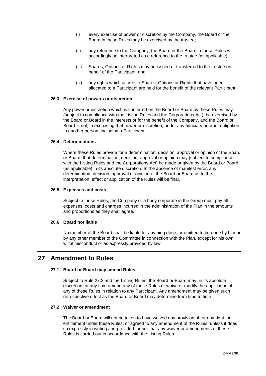- (i) every exercise of power or discretion by the Company, the Board or the Board in these Rules may be exercised by the trustee;
- (ii) any reference to the Company, the Board or the Board in these Rules will accordingly be interpreted as a reference to the trustee (as applicable);
- (iii) Shares, Options or Rights may be issued or transferred to the trustee on behalf of the Participant; and
- (iv) any rights which accrue to Shares, Options or Rights that have been allocated to a Participant are held for the benefit of the relevant Participant.

#### **26.3 Exercise of powers or discretion**

Any power or discretion which is conferred on the Board or Board by these Rules may (subject to compliance with the Listing Rules and the Corporations Act) be exercised by the Board or Board in the interests or for the benefit of the Company, and the Board or Board is not, in exercising that power or discretion, under any fiduciary or other obligation to another person, including a Participant.

#### **26.4 Determinations**

Where these Rules provide for a determination, decision, approval or opinion of the Board or Board, that determination, decision, approval or opinion may (subject to compliance with the Listing Rules and the Corporations Act) be made or given by the Board or Board (as applicable) in its absolute discretion. In the absence of manifest error, any determination, decision, approval or opinion of the Board or Board as to the interpretation, effect or application of the Rules will be final.

### **26.5 Expenses and costs**

Subject to these Rules, the Company or a body corporate in the Group must pay all expenses, costs and charges incurred in the administration of the Plan in the amounts and proportions as they shall agree.

### **26.6 Board not liable**

No member of the Board shall be liable for anything done, or omitted to be done by him or by any other member of the Committee in connection with the Plan, except for his own wilful misconduct or as expressly provided by law.

# <span id="page-34-0"></span>**27 Amendment to Rules**

# **27.1 Board or Board may amend Rules**

Subject to Rule [27.3](#page-35-0) and the Listing Rules, the Board or Board may, in its absolute discretion, at any time amend any of these Rules or waive or modify the application of any of these Rules in relation to any Participant. Any amendment may be given such retrospective effect as the Board or Board may determine from time to time.

#### **27.2 Waiver or amendment**

The Board or Board will not be taken to have waived any provision of, or any right, or entitlement under these Rules, or agreed to any amendment of the Rules, unless it does so expressly in writing and provided further that any waiver or amendments of these Rules is carried out in accordance with the Listing Rules.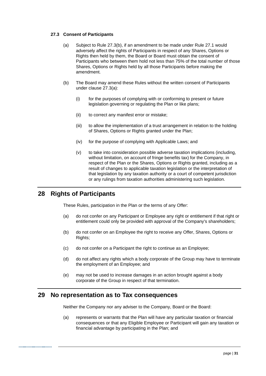# <span id="page-35-2"></span><span id="page-35-0"></span>**27.3 Consent of Participants**

- (a) Subject to Rule [27.3\(b\),](#page-35-1) if an amendment to be made under Rule [27.1](#page-34-0) would adversely affect the rights of Participants in respect of any Shares, Options or Rights then held by them, the Board or Board must obtain the consent of Participants who between them hold not less than 75% of the total number of those Shares, Options or Rights held by all those Participants before making the amendment.
- <span id="page-35-1"></span>(b) The Board may amend these Rules without the written consent of Participants under clause [27.3\(a\):](#page-35-2)
	- (i) for the purposes of complying with or conforming to present or future legislation governing or regulating the Plan or like plans;
	- (ii) to correct any manifest error or mistake;
	- (iii) to allow the implementation of a trust arrangement in relation to the holding of Shares, Options or Rights granted under the Plan;
	- (iv) for the purpose of complying with Applicable Laws; and
	- (v) to take into consideration possible adverse taxation implications (including, without limitation, on account of fringe benefits tax) for the Company, in respect of the Plan or the Shares, Options or Rights granted, including as a result of changes to applicable taxation legislation or the interpretation of that legislation by any taxation authority or a court of competent jurisdiction or any rulings from taxation authorities administering such legislation.

# **28 Rights of Participants**

These Rules, participation in the Plan or the terms of any Offer:

- (a) do not confer on any Participant or Employee any right or entitlement if that right or entitlement could only be provided with approval of the Company's shareholders;
- (b) do not confer on an Employee the right to receive any Offer, Shares, Options or Rights;
- (c) do not confer on a Participant the right to continue as an Employee;
- (d) do not affect any rights which a body corporate of the Group may have to terminate the employment of an Employee; and
- (e) may not be used to increase damages in an action brought against a body corporate of the Group in respect of that termination.

# **29 No representation as to Tax consequences**

Neither the Company nor any adviser to the Company, Board or the Board:

(a) represents or warrants that the Plan will have any particular taxation or financial consequences or that any Eligible Employee or Participant will gain any taxation or financial advantage by participating in the Plan; and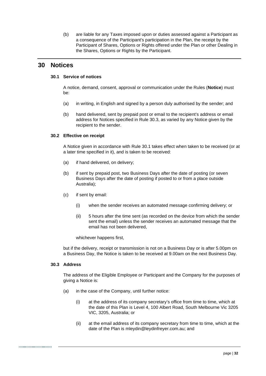(b) are liable for any Taxes imposed upon or duties assessed against a Participant as a consequence of the Participant's participation in the Plan, the receipt by the Participant of Shares, Options or Rights offered under the Plan or other Dealing in the Shares, Options or Rights by the Participant.

# <span id="page-36-1"></span>**30 Notices**

# **30.1 Service of notices**

A notice, demand, consent, approval or communication under the Rules (**Notice**) must be:

- (a) in writing, in English and signed by a person duly authorised by the sender; and
- (b) hand delivered, sent by prepaid post or email to the recipient's address or email address for Notices specified in Rule [30.3,](#page-36-0) as varied by any Notice given by the recipient to the sender.

# **30.2 Effective on receipt**

A Notice given in accordance with Rule [30.1](#page-36-1) takes effect when taken to be received (or at a later time specified in it), and is taken to be received:

- (a) if hand delivered, on delivery;
- (b) if sent by prepaid post, two Business Days after the date of posting (or seven Business Days after the date of posting if posted to or from a place outside Australia);
- (c) if sent by email:
	- (i) when the sender receives an automated message confirming delivery; or
	- (ii) 5 hours after the time sent (as recorded on the device from which the sender sent the email) unless the sender receives an automated message that the email has not been delivered,

whichever happens first,

but if the delivery, receipt or transmission is not on a Business Day or is after 5.00pm on a Business Day, the Notice is taken to be received at 9.00am on the next Business Day.

# <span id="page-36-0"></span>**30.3 Address**

The address of the Eligible Employee or Participant and the Company for the purposes of giving a Notice is:

- (a) in the case of the Company, until further notice:
	- (i) at the address of its company secretary's office from time to time, which at the date of this Plan is Level 4, 100 Albert Road, South Melbourne Vic 3205 VIC, 3205, Australia; or
	- (ii) at the email address of its company secretary from time to time, which at the date of the Plan is mleydin@leydinfreyer.com.au; and